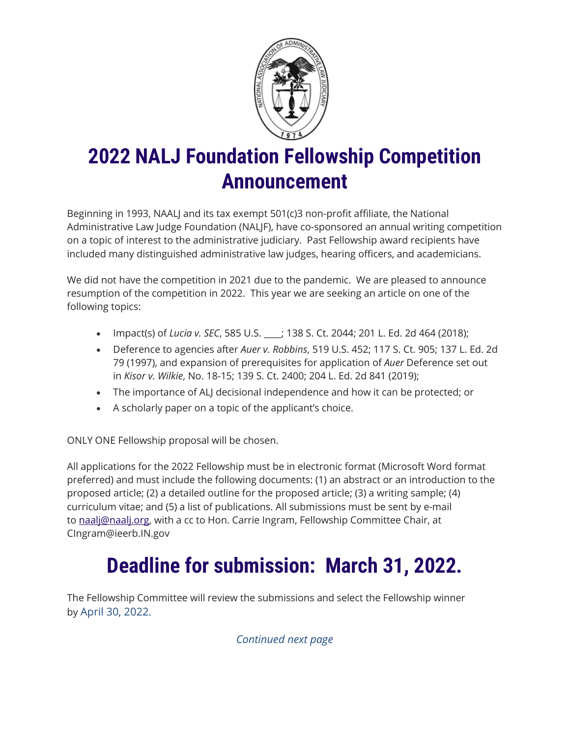

## **2022 NALJ Foundation Fellowship Competition Announcement**

Beginning in 1993, NAALJ and its tax exempt 501(c)3 non-profit affiliate, the National Administrative Law Judge Foundation (NALJF), have co-sponsored an annual writing competition on a topic of interest to the administrative judiciary. Past Fellowship award recipients have included many distinguished administrative law judges, hearing officers, and academicians.

We did not have the competition in 2021 due to the pandemic. We are pleased to announce resumption of the competition in 2022. This year we are seeking an article on one of the following topics:

- Impact(s) of *Lucia v. SEC*, 585 U.S. \_\_\_\_; 138 S. Ct. 2044; 201 L. Ed. 2d 464 (2018);
- Deference to agencies after *Auer v. Robbins*, 519 U.S. 452; 117 S. Ct. 905; 137 L. Ed. 2d 79 (1997), and expansion of prerequisites for application of *Auer* Deference set out in *Kisor v. Wilkie*, No. 18-15; 139 S. Ct. 2400; 204 L. Ed. 2d 841 (2019);
- The importance of ALJ decisional independence and how it can be protected; or
- A scholarly paper on a topic of the applicant's choice.

ONLY ONE Fellowship proposal will be chosen.

All applications for the 2022 Fellowship must be in electronic format (Microsoft Word format preferred) and must include the following documents: (1) an abstract or an introduction to the proposed article; (2) a detailed outline for the proposed article; (3) a writing sample; (4) curriculum vitae; and (5) a list of publications. All submissions must be sent by e-mail to [naalj@naalj.org,](mailto:naalj@naalj.org) with a cc to Hon. Carrie Ingram, Fellowship Committee Chair, at CIngram@ieerb.IN.gov

## **Deadline for submission: March 31, 2022.**

The Fellowship Committee will review the submissions and select the Fellowship winner by April 30, 2022.

*Continued next page*